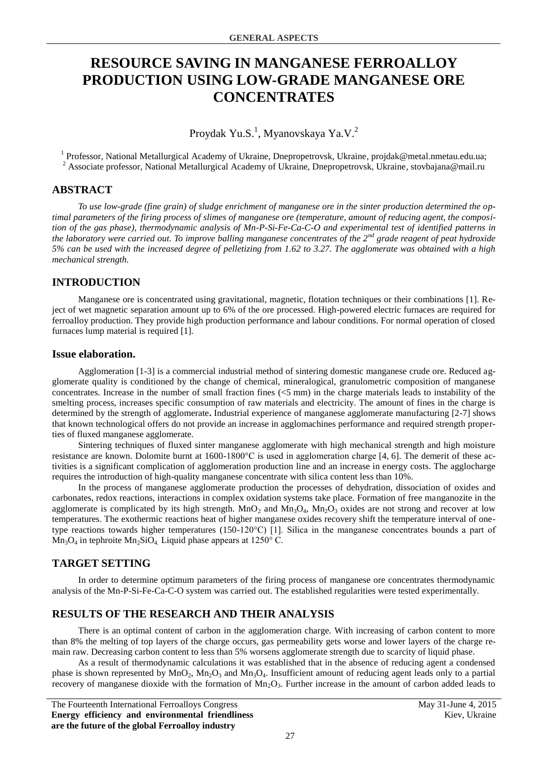# **RESOURCE SAVING IN MANGANESE FERROALLOY PRODUCTION USING LOW-GRADE MANGANESE ORE CONCENTRATES**

Proydak Yu.S.<sup>1</sup>, Myanovskaya Ya.V.<sup>2</sup>

<sup>1</sup> Professor, National Metallurgical Academy of Ukraine, Dnepropetrovsk, Ukraine, projdak@metal.nmetau.edu.ua; <sup>2</sup> Associate professor, National Metallurgical Academy of Ukraine, Dnepropetrovsk, Ukraine, stovbajana@mail.ru

#### **ABSTRACT**

*To use low-grade (fine grain) of sludge enrichment of manganese ore in the sinter production determined the optimal parameters of the firing process of slimes of manganese ore (temperature, amount of reducing agent, the composition of the gas phase), thermodynamic analysis of Mn-P-Si-Fe-Ca-C-O and experimental test of identified patterns in the laboratory were carried out. To improve balling manganese concentrates of the 2nd grade reagent of peat hydroxide 5% can be used with the increased degree of pelletizing from 1.62 to 3.27. The agglomerate was obtained with a high mechanical strength.*

## **INTRODUCTION**

Manganese ore is concentrated using gravitational, magnetic, flotation techniques or their combinations [1]. Reject of wet magnetic separation amount up to 6% of the ore processed. High-powered electric furnaces are required for ferroalloy production. They provide high production performance and labour conditions. For normal operation of closed furnaces lump material is required [1].

#### **Issue elaboration.**

Agglomeration [1-3] is a commercial industrial method of sintering domestic manganese crude ore. Reduced agglomerate quality is conditioned by the change of chemical, mineralogical, granulometric composition of manganese concentrates. Increase in the number of small fraction fines (<5 mm) in the charge materials leads to instability of the smelting process, increases specific consumption of raw materials and electricity. The amount of fines in the charge is determined by the strength of agglomerate**.** Industrial experience of manganese agglomerate manufacturing [2-7] shows that known technological offers do not provide an increase in agglomachines performance and required strength properties of fluxed manganese agglomerate.

Sintering techniques of fluxed sinter manganese agglomerate with high mechanical strength and high moisture resistance are known. Dolomite burnt at 1600-1800°C is used in agglomeration charge [4, 6]. The demerit of these activities is a significant complication of agglomeration production line and an increase in energy costs. The agglocharge requires the introduction of high-quality manganese concentrate with silica content less than 10%.

In the process of manganese agglomerate production the processes of dehydration, dissociation of oxides and carbonates, redox reactions, interactions in complex oxidation systems take place. Formation of free manganozite in the agglomerate is complicated by its high strength. MnO<sub>2</sub> and Mn<sub>3</sub>O<sub>4</sub>, Mn<sub>2</sub>O<sub>3</sub> oxides are not strong and recover at low temperatures. The exothermic reactions heat of higher manganese oxides recovery shift the temperature interval of onetype reactions towards higher temperatures (150-120°C) [1]. Silica in the manganese concentrates bounds a part of  $Mn_3O_4$  in tephroite  $Mn_2SiO_4$ . Liquid phase appears at 1250° C.

## **TARGET SETTING**

In order to determine optimum parameters of the firing process of manganese ore concentrates thermodynamic analysis of the Mn-P-Si-Fe-Ca-C-O system was carried out. The established regularities were tested experimentally.

## **RESULTS OF THE RESEARCH AND THEIR ANALYSIS**

There is an optimal content of carbon in the agglomeration charge. With increasing of carbon content to more than 8% the melting of top layers of the charge occurs, gas permeability gets worse and lower layers of the charge remain raw. Decreasing carbon content to less than 5% worsens agglomerate strength due to scarcity of liquid phase.

As a result of thermodynamic calculations it was established that in the absence of reducing agent a condensed phase is shown represented by  $MnO_2$ ,  $Mn_2O_3$  and  $Mn_3O_4$ . Insufficient amount of reducing agent leads only to a partial recovery of manganese dioxide with the formation of  $Mn<sub>2</sub>O<sub>3</sub>$ . Further increase in the amount of carbon added leads to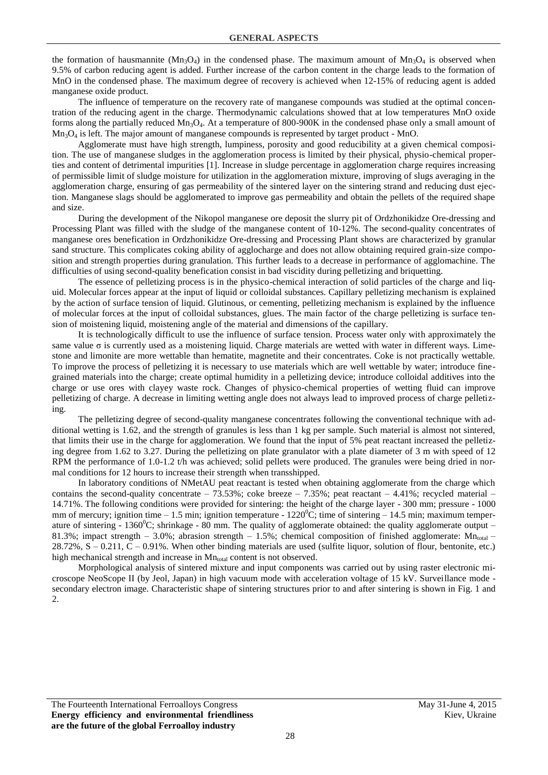the formation of hausmannite  $(Mn_3O_4)$  in the condensed phase. The maximum amount of  $Mn_3O_4$  is observed when 9.5% of carbon reducing agent is added. Further increase of the carbon content in the charge leads to the formation of MnO in the condensed phase. The maximum degree of recovery is achieved when 12-15% of reducing agent is added manganese oxide product.

The influence of temperature on the recovery rate of manganese compounds was studied at the optimal concentration of the reducing agent in the charge. Thermodynamic calculations showed that at low temperatures MnO oxide forms along the partially reduced  $Mn_3O_4$ . At a temperature of 800-900K in the condensed phase only a small amount of  $Mn<sub>3</sub>O<sub>4</sub>$  is left. The major amount of manganese compounds is represented by target product - MnO.

Agglomerate must have high strength, lumpiness, porosity and good reducibility at a given chemical composition. The use of manganese sludges in the agglomeration process is limited by their physical, physio-chemical properties and content of detrimental impurities [1]. Increase in sludge percentage in agglomeration charge requires increasing of permissible limit of sludge moisture for utilization in the agglomeration mixture, improving of slugs averaging in the agglomeration charge, ensuring of gas permeability of the sintered layer on the sintering strand and reducing dust ejection. Manganese slags should be agglomerated to improve gas permeability and obtain the pellets of the required shape and size.

During the development of the Nikopol manganese ore deposit the slurry pit of Ordzhonikidze Ore-dressing and Processing Plant was filled with the sludge of the manganese content of 10-12%. The second-quality concentrates of manganese ores benefication in Ordzhonikidze Ore-dressing and Processing Plant shows are characterized by granular sand structure. This complicates coking ability of agglocharge and does not allow obtaining required grain-size composition and strength properties during granulation. This further leads to a decrease in performance of agglomachine. The difficulties of using second-quality benefication consist in bad viscidity during pelletizing and briquetting.

The essence of pelletizing process is in the physico-chemical interaction of solid particles of the charge and liquid. Molecular forces appear at the input of liquid or colloidal substances. Capillary pelletizing mechanism is explained by the action of surface tension of liquid. Glutinous, or cementing, pelletizing mechanism is explained by the influence of molecular forces at the input of colloidal substances, glues. The main factor of the charge pelletizing is surface tension of moistening liquid, moistening angle of the material and dimensions of the capillary.

It is technologically difficult to use the influence of surface tension. Process water only with approximately the same value  $\sigma$  is currently used as a moistening liquid. Charge materials are wetted with water in different ways. Limestone and limonite are more wettable than hematite, magnetite and their concentrates. Coke is not practically wettable. To improve the process of pelletizing it is necessary to use materials which are well wettable by water; introduce finegrained materials into the charge; create optimal humidity in a pelletizing device; introduce colloidal additives into the charge or use ores with clayey waste rock. Changes of physico-chemical properties of wetting fluid can improve pelletizing of charge. A decrease in limiting wetting angle does not always lead to improved process of charge pelletizing.

The pelletizing degree of second-quality manganese concentrates following the conventional technique with additional wetting is 1.62, and the strength of granules is less than 1 kg per sample. Such material is almost not sintered, that limits their use in the charge for agglomeration. We found that the input of 5% peat reactant increased the pelletizing degree from 1.62 to 3.27. During the pelletizing on plate granulator with a plate diameter of 3 m with speed of 12 RPM the performance of 1.0-1.2 t/h was achieved; solid pellets were produced. The granules were being dried in normal conditions for 12 hours to increase their strength when transshipped.

In laboratory conditions of NMetAU peat reactant is tested when obtaining agglomerate from the charge which contains the second-quality concentrate – 73.53%; coke breeze – 7.35%; peat reactant – 4.41%; recycled material – 14.71%. The following conditions were provided for sintering: the height of the charge layer - 300 mm; pressure - 1000 mm of mercury; ignition time – 1.5 min; ignition temperature -  $1220^{\circ}$ C; time of sintering – 14.5 min; maximum temperature of sintering - 1360 $^0$ C; shrinkage - 80 mm. The quality of agglomerate obtained: the quality agglomerate output – 81.3%; impact strength – 3.0%; abrasion strength – 1.5%; chemical composition of finished agglomerate:  $Mn_{total}$ 28.72%, S – 0.211, C – 0.91%. When other binding materials are used (sulfite liquor, solution of flour, bentonite, etc.) high mechanical strength and increase in  $Mn_{total}$  content is not observed.

Morphological analysis of sintered mixture and input components was carried out by using raster electronic microscope NeoScope II (by Jeol, Japan) in high vacuum mode with acceleration voltage of 15 kV. Surveillance mode secondary electron image. Characteristic shape of sintering structures prior to and after sintering is shown in Fig. 1 and 2.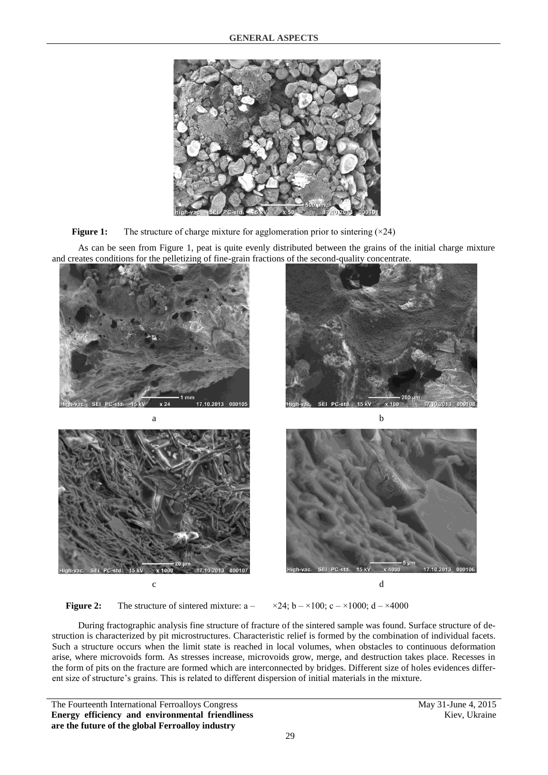



As can be seen from Figure 1, peat is quite evenly distributed between the grains of the initial charge mixture and creates conditions for the pelletizing of fine-grain fractions of the second-quality concentrate.



**Figure 2:** The structure of sintered mixture:  $a - x^2/4$ ;  $b - x^1/100$ ;  $c - x^1/1000$ ;  $d - x^2/1000$ 

During fractographic analysis fine structure of fracture of the sintered sample was found. Surface structure of destruction is characterized by pit microstructures. Characteristic relief is formed by the combination of individual facets. Such a structure occurs when the limit state is reached in local volumes, when obstacles to continuous deformation arise, where microvoids form. As stresses increase, microvoids grow, merge, and destruction takes place. Recesses in the form of pits on the fracture are formed which are interconnected by bridges. Different size of holes evidences different size of structure's grains. This is related to different dispersion of initial materials in the mixture.

The Fourteenth International Ferroalloys Congress May 31-June 4, 2015 **Energy efficiency and environmental friendliness are the future of the global Ferroalloy industry**

Kiev, Ukraine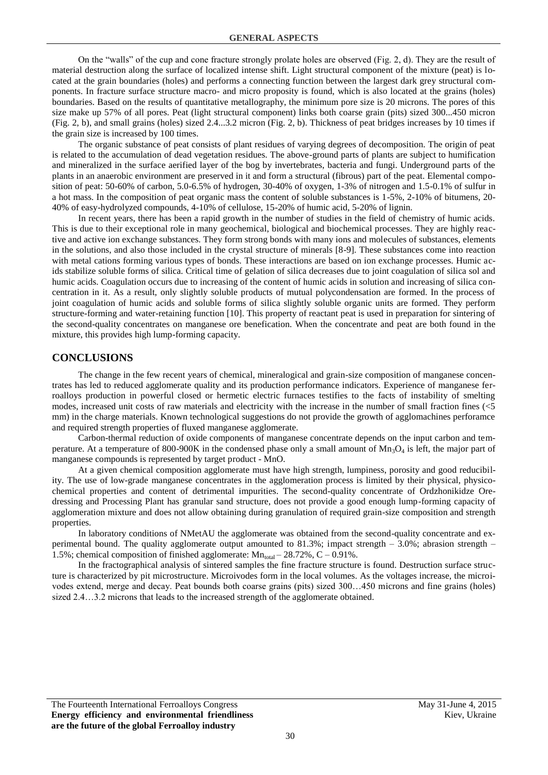On the "walls" of the cup and cone fracture strongly prolate holes are observed (Fig. 2, d). They are the result of material destruction along the surface of localized intense shift. Light structural component of the mixture (peat) is located at the grain boundaries (holes) and performs a connecting function between the largest dark grey structural components. In fracture surface structure macro- and micro proposity is found, which is also located at the grains (holes) boundaries. Based on the results of quantitative metallography, the minimum pore size is 20 microns. The pores of this size make up 57% of all pores. Peat (light structural component) links both coarse grain (pits) sized 300...450 micron (Fig. 2, b), and small grains (holes) sized 2.4...3.2 micron (Fig. 2, b). Thickness of peat bridges increases by 10 times if the grain size is increased by 100 times.

The organic substance of peat consists of plant residues of varying degrees of decomposition. The origin of peat is related to the accumulation of dead vegetation residues. The above-ground parts of plants are subject to humification and mineralized in the surface aerified layer of the bog by invertebrates, bacteria and fungi. Underground parts of the plants in an anaerobic environment are preserved in it and form a structural (fibrous) part of the peat. Elemental composition of peat: 50-60% of carbon, 5.0-6.5% of hydrogen, 30-40% of oxygen, 1-3% of nitrogen and 1.5-0.1% of sulfur in a hot mass. In the composition of peat organic mass the content of soluble substances is 1-5%, 2-10% of bitumens, 20- 40% of easy-hydrolyzed compounds, 4-10% of cellulose, 15-20% of humic acid, 5-20% of lignin.

In recent years, there has been a rapid growth in the number of studies in the field of chemistry of humic acids. This is due to their exceptional role in many geochemical, biological and biochemical processes. They are highly reactive and active ion exchange substances. They form strong bonds with many ions and molecules of substances, elements in the solutions, and also those included in the crystal structure of minerals [8-9]. These substances come into reaction with metal cations forming various types of bonds. These interactions are based on ion exchange processes. Humic acids stabilize soluble forms of silica. Critical time of gelation of silica decreases due to joint coagulation of silica sol and humic acids. Coagulation occurs due to increasing of the content of humic acids in solution and increasing of silica concentration in it. As a result, only slightly soluble products of mutual polycondensation are formed. In the process of joint coagulation of humic acids and soluble forms of silica slightly soluble organic units are formed. They perform structure-forming and water-retaining function [10]. This property of reactant peat is used in preparation for sintering of the second-quality concentrates on manganese ore benefication. When the concentrate and peat are both found in the mixture, this provides high lump-forming capacity.

#### **CONCLUSIONS**

The change in the few recent years of chemical, mineralogical and grain-size composition of manganese concentrates has led to reduced agglomerate quality and its production performance indicators. Experience of manganese ferroalloys production in powerful closed or hermetic electric furnaces testifies to the facts of instability of smelting modes, increased unit costs of raw materials and electricity with the increase in the number of small fraction fines (<5 mm) in the charge materials. Known technological suggestions do not provide the growth of agglomachines perforamce and required strength properties of fluxed manganese agglomerate.

Carbon-thermal reduction of oxide components of manganese concentrate depends on the input carbon and temperature. At a temperature of 800-900K in the condensed phase only a small amount of  $Mn_3O_4$  is left, the major part of manganese compounds is represented by target product - MnO.

At a given chemical composition agglomerate must have high strength, lumpiness, porosity and good reducibility. The use of low-grade manganese concentrates in the agglomeration process is limited by their physical, physicochemical properties and content of detrimental impurities. The second-quality concentrate of Ordzhonikidze Oredressing and Processing Plant has granular sand structure, does not provide a good enough lump-forming capacity of agglomeration mixture and does not allow obtaining during granulation of required grain-size composition and strength properties.

In laboratory conditions of NMetAU the agglomerate was obtained from the second-quality concentrate and experimental bound. The quality agglomerate output amounted to 81.3%; impact strength – 3.0%; abrasion strength – 1.5%; chemical composition of finished agglomerate:  $Mn_{total} - 28.72\%$ , C – 0.91%.

In the fractographical analysis of sintered samples the fine fracture structure is found. Destruction surface structure is characterized by pit microstructure. Microivodes form in the local volumes. As the voltages increase, the microivodes extend, merge and decay. Peat bounds both coarse grains (pits) sized 300…450 microns and fine grains (holes) sized 2.4…3.2 microns that leads to the increased strength of the agglomerate obtained.